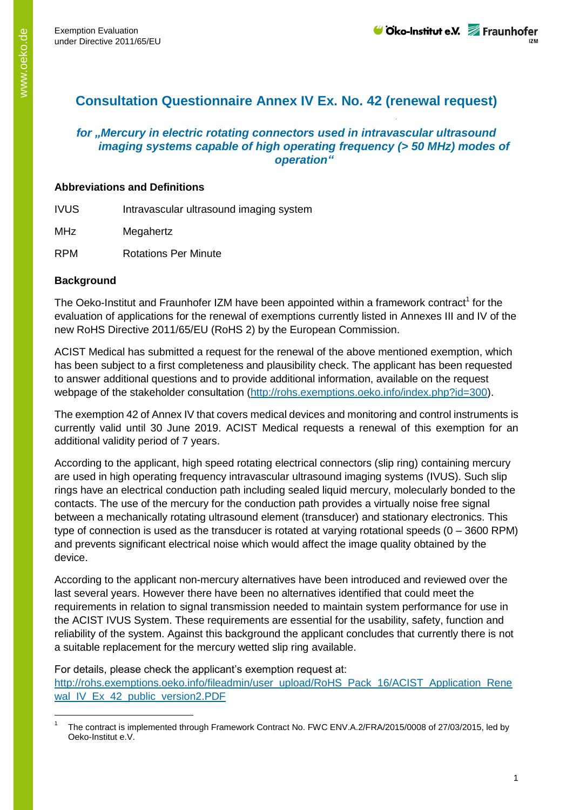# **Consultation Questionnaire Annex IV Ex. No. 42 (renewal request)**

## *for "Mercury in electric rotating connectors used in intravascular ultrasound imaging systems capable of high operating frequency (> 50 MHz) modes of operation"*

#### **Abbreviations and Definitions**

IVUS Intravascular ultrasound imaging system

MHz Megahertz

RPM Rotations Per Minute

## **Background**

-

The Oeko-Institut and Fraunhofer IZM have been appointed within a framework contract<sup>1</sup> for the evaluation of applications for the renewal of exemptions currently listed in Annexes III and IV of the new RoHS Directive 2011/65/EU (RoHS 2) by the European Commission.

ACIST Medical has submitted a request for the renewal of the above mentioned exemption, which has been subject to a first completeness and plausibility check. The applicant has been requested to answer additional questions and to provide additional information, available on the request webpage of the stakeholder consultation [\(http://rohs.exemptions.oeko.info/index.php?id=300\)](http://rohs.exemptions.oeko.info/index.php?id=300).

The exemption 42 of Annex IV that covers medical devices and monitoring and control instruments is currently valid until 30 June 2019. ACIST Medical requests a renewal of this exemption for an additional validity period of 7 years.

According to the applicant, high speed rotating electrical connectors (slip ring) containing mercury are used in high operating frequency intravascular ultrasound imaging systems (IVUS). Such slip rings have an electrical conduction path including sealed liquid mercury, molecularly bonded to the contacts. The use of the mercury for the conduction path provides a virtually noise free signal between a mechanically rotating ultrasound element (transducer) and stationary electronics. This type of connection is used as the transducer is rotated at varying rotational speeds (0 – 3600 RPM) and prevents significant electrical noise which would affect the image quality obtained by the device.

According to the applicant non-mercury alternatives have been introduced and reviewed over the last several years. However there have been no alternatives identified that could meet the requirements in relation to signal transmission needed to maintain system performance for use in the ACIST IVUS System. These requirements are essential for the usability, safety, function and reliability of the system. Against this background the applicant concludes that currently there is not a suitable replacement for the mercury wetted slip ring available.

For details, please check the applicant's exemption request at: [http://rohs.exemptions.oeko.info/fileadmin/user\\_upload/RoHS\\_Pack\\_16/ACIST\\_Application\\_Rene](http://rohs.exemptions.oeko.info/fileadmin/user_upload/RoHS_Pack_16/ACIST_Application_Renewal_IV_Ex_42_public_version2.PDF) [wal\\_IV\\_Ex\\_42\\_public\\_version2.PDF](http://rohs.exemptions.oeko.info/fileadmin/user_upload/RoHS_Pack_16/ACIST_Application_Renewal_IV_Ex_42_public_version2.PDF)

<sup>1</sup> The contract is implemented through Framework Contract No. FWC ENV.A.2/FRA/2015/0008 of 27/03/2015, led by Oeko-Institut e.V.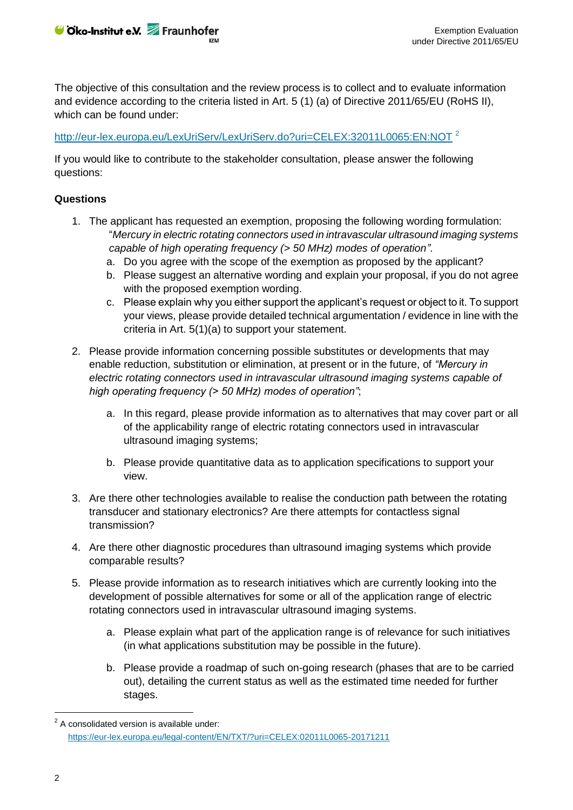Cko-Institut e.V. Fraunhofer

The objective of this consultation and the review process is to collect and to evaluate information and evidence according to the criteria listed in Art. 5 (1) (a) of Directive 2011/65/EU (RoHS II), which can be found under:

<http://eur-lex.europa.eu/LexUriServ/LexUriServ.do?uri=CELEX:32011L0065:EN:NOT><sup>2</sup>

If you would like to contribute to the stakeholder consultation, please answer the following questions:

## **Questions**

- 1. The applicant has requested an exemption, proposing the following wording formulation: "*Mercury in electric rotating connectors used in intravascular ultrasound imaging systems capable of high operating frequency (> 50 MHz) modes of operation"*.
	- a. Do you agree with the scope of the exemption as proposed by the applicant?
	- b. Please suggest an alternative wording and explain your proposal, if you do not agree with the proposed exemption wording.
	- c. Please explain why you either support the applicant's request or object to it. To support your views, please provide detailed technical argumentation / evidence in line with the criteria in Art. 5(1)(a) to support your statement.
- 2. Please provide information concerning possible substitutes or developments that may enable reduction, substitution or elimination, at present or in the future, of *"Mercury in electric rotating connectors used in intravascular ultrasound imaging systems capable of high operating frequency (> 50 MHz) modes of operation"*;
	- a. In this regard, please provide information as to alternatives that may cover part or all of the applicability range of electric rotating connectors used in intravascular ultrasound imaging systems;
	- b. Please provide quantitative data as to application specifications to support your view.
- 3. Are there other technologies available to realise the conduction path between the rotating transducer and stationary electronics? Are there attempts for contactless signal transmission?
- 4. Are there other diagnostic procedures than ultrasound imaging systems which provide comparable results?
- 5. Please provide information as to research initiatives which are currently looking into the development of possible alternatives for some or all of the application range of electric rotating connectors used in intravascular ultrasound imaging systems.
	- a. Please explain what part of the application range is of relevance for such initiatives (in what applications substitution may be possible in the future).
	- b. Please provide a roadmap of such on-going research (phases that are to be carried out), detailing the current status as well as the estimated time needed for further stages.

-

 $2$  A consolidated version is available under: <https://eur-lex.europa.eu/legal-content/EN/TXT/?uri=CELEX:02011L0065-20171211>